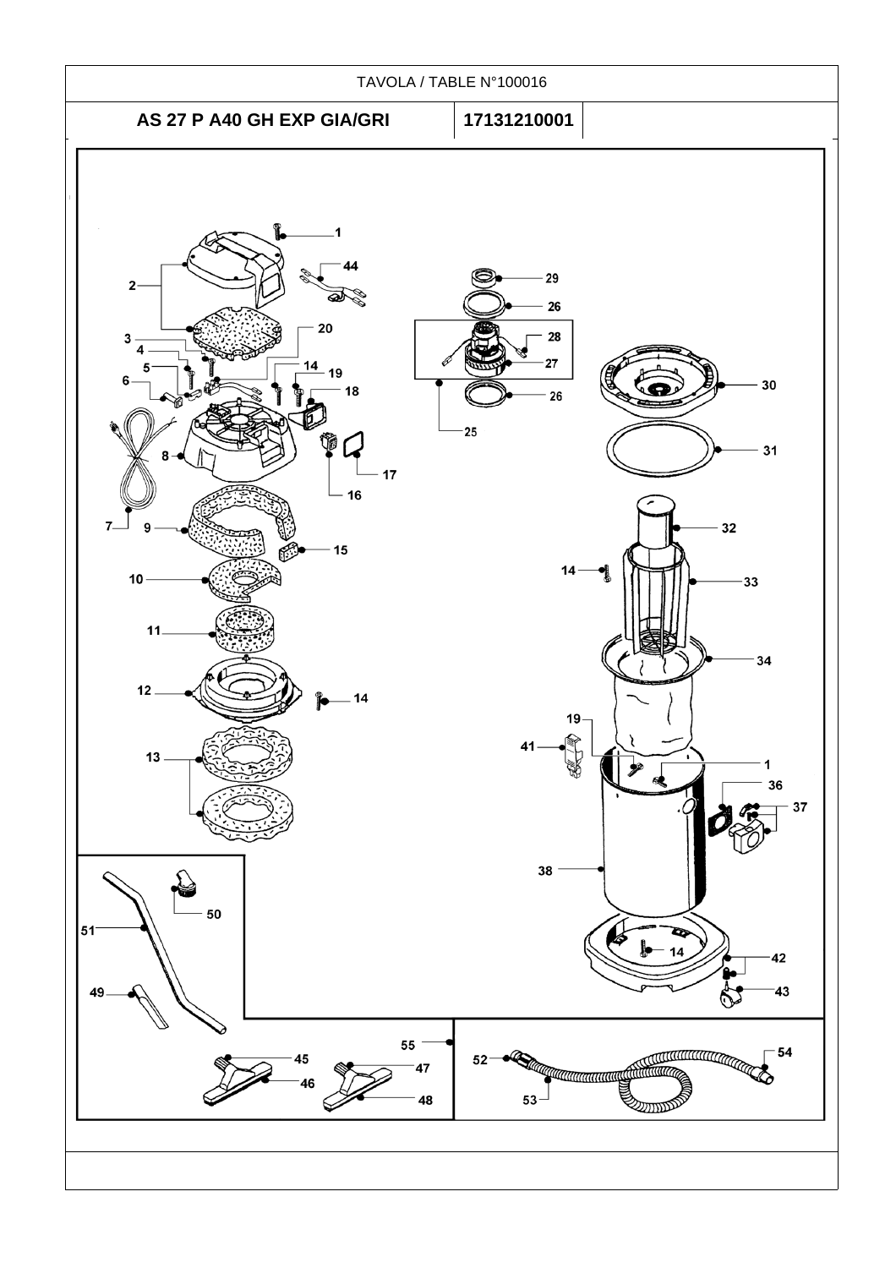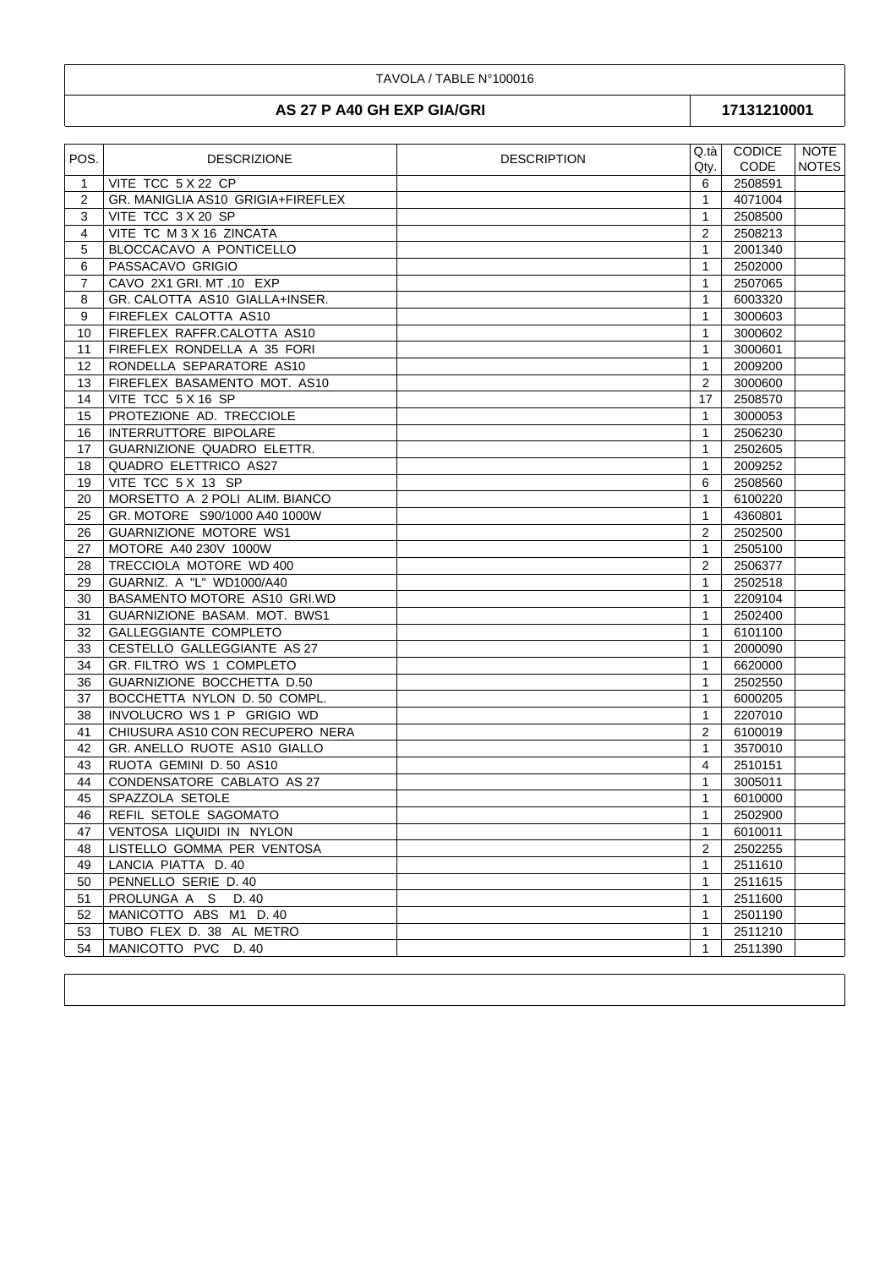## TAVOLA / TABLE N°100016

## AS 27 P A40 GH EXP GIA/GRI

17131210001

| POS.           | <b>DESCRIZIONE</b>                | <b>DESCRIPTION</b> | Q.tà           | <b>CODICE</b> | NOTE         |
|----------------|-----------------------------------|--------------------|----------------|---------------|--------------|
|                |                                   |                    | Qty.           | <b>CODE</b>   | <b>NOTES</b> |
| $\mathbf{1}$   | VITE TCC 5 X 22 CP                |                    | 6              | 2508591       |              |
| 2              | GR. MANIGLIA AS10 GRIGIA+FIREFLEX |                    | $\mathbf{1}$   | 4071004       |              |
| 3              | VITE TCC 3 X 20 SP                |                    | 1              | 2508500       |              |
| $\overline{4}$ | VITE TC M 3 X 16 ZINCATA          |                    | $\overline{2}$ | 2508213       |              |
| 5              | BLOCCACAVO A PONTICELLO           |                    | $\mathbf{1}$   | 2001340       |              |
| 6              | PASSACAVO GRIGIO                  |                    | 1              | 2502000       |              |
| $\overline{7}$ | CAVO 2X1 GRI. MT .10 EXP          |                    | $\mathbf{1}$   | 2507065       |              |
| 8              | GR. CALOTTA AS10 GIALLA+INSER.    |                    | $\mathbf{1}$   | 6003320       |              |
| 9              | FIREFLEX CALOTTA AS10             |                    | 1              | 3000603       |              |
| 10             | FIREFLEX RAFFR.CALOTTA AS10       |                    | 1              | 3000602       |              |
| 11             | FIREFLEX RONDELLA A 35 FORI       |                    | 1              | 3000601       |              |
| 12             | RONDELLA SEPARATORE AS10          |                    | 1              | 2009200       |              |
| 13             | FIREFLEX BASAMENTO MOT. AS10      |                    | $\overline{2}$ | 3000600       |              |
| 14             | VITE TCC 5 X 16 SP                |                    | 17             | 2508570       |              |
| 15             | PROTEZIONE AD. TRECCIOLE          |                    | $\mathbf{1}$   | 3000053       |              |
| 16             | INTERRUTTORE BIPOLARE             |                    | 1              | 2506230       |              |
| 17             | GUARNIZIONE QUADRO ELETTR.        |                    | $\mathbf{1}$   | 2502605       |              |
| 18             | QUADRO ELETTRICO AS27             |                    | 1              | 2009252       |              |
| 19             | VITE TCC 5 X 13 SP                |                    | 6              | 2508560       |              |
| 20             | MORSETTO A 2 POLI ALIM. BIANCO    |                    | $\mathbf{1}$   | 6100220       |              |
| 25             | GR. MOTORE S90/1000 A40 1000W     |                    | 1              | 4360801       |              |
| 26             | GUARNIZIONE MOTORE WS1            |                    | 2              | 2502500       |              |
| 27             | MOTORE A40 230V 1000W             |                    | $\mathbf{1}$   | 2505100       |              |
| 28             | TRECCIOLA MOTORE WD 400           |                    | $\overline{2}$ | 2506377       |              |
| 29             | GUARNIZ. A "L" WD1000/A40         |                    | 1              | 2502518       |              |
| 30             | BASAMENTO MOTORE AS10 GRI.WD      |                    | $\mathbf{1}$   | 2209104       |              |
| 31             | GUARNIZIONE BASAM. MOT. BWS1      |                    | $\mathbf{1}$   | 2502400       |              |
| 32             | GALLEGGIANTE COMPLETO             |                    | $\mathbf{1}$   | 6101100       |              |
| 33             | CESTELLO GALLEGGIANTE AS 27       |                    | $\mathbf{1}$   | 2000090       |              |
| 34             | GR. FILTRO WS 1 COMPLETO          |                    | 1              | 6620000       |              |
| 36             | GUARNIZIONE BOCCHETTA D.50        |                    | 1              | 2502550       |              |
| 37             | BOCCHETTA NYLON D. 50 COMPL.      |                    | $\mathbf{1}$   | 6000205       |              |
| 38             | INVOLUCRO WS 1 P GRIGIO WD        |                    | 1              | 2207010       |              |
| 41             | CHIUSURA AS10 CON RECUPERO NERA   |                    | $\overline{2}$ | 6100019       |              |
| 42             | GR. ANELLO RUOTE AS10 GIALLO      |                    | 1              | 3570010       |              |
| 43             | RUOTA GEMINI D. 50 AS10           |                    | 4              | 2510151       |              |
| 44             | CONDENSATORE CABLATO AS 27        |                    | 1              | 3005011       |              |
| 45             | SPAZZOLA SETOLE                   |                    | $\mathbf{1}$   | 6010000       |              |
| 46             | REFIL SETOLE SAGOMATO             |                    | 1              | 2502900       |              |
| 47             | VENTOSA LIQUIDI IN NYLON          |                    | $\mathbf{1}$   | 6010011       |              |
| 48             | LISTELLO GOMMA PER VENTOSA        |                    | 2              | 2502255       |              |
| 49             | LANCIA PIATTA D. 40               |                    | $\mathbf{1}$   | 2511610       |              |
| 50             | PENNELLO SERIE D. 40              |                    | 1              | 2511615       |              |
| 51             | PROLUNGA A S D.40                 |                    | 1              | 2511600       |              |
| 52             | MANICOTTO ABS M1 D. 40            |                    | $\mathbf{1}$   | 2501190       |              |
| 53             | TUBO FLEX D. 38 AL METRO          |                    | $\mathbf{1}$   | 2511210       |              |
| 54             | MANICOTTO PVC D. 40               |                    | 1              | 2511390       |              |